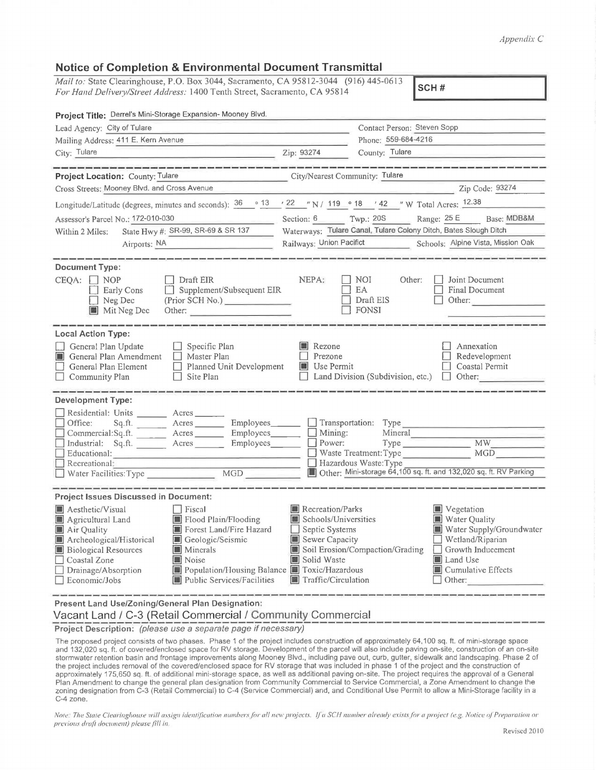## *Apprndix C*

## **Notice of Completion & Environmental Document Transmittal**

*Mail to:* State Clearinghouse, P.O. Box 3044, Sacramento, CA 95812-3044 (916) 445-0613 *For Hand Defive1y/Street Address:* 1400 Tenth Street, Sacramento, CA 95814 **SCH#** 

| Project Title: Derrel's Mini-Storage Expansion- Mooney Blvd.                                                                                                                                                                                                                                                                                                     |                                                                                                                                    |                                                           |                                                                                                                                                     |
|------------------------------------------------------------------------------------------------------------------------------------------------------------------------------------------------------------------------------------------------------------------------------------------------------------------------------------------------------------------|------------------------------------------------------------------------------------------------------------------------------------|-----------------------------------------------------------|-----------------------------------------------------------------------------------------------------------------------------------------------------|
| Lead Agency: City of Tulare                                                                                                                                                                                                                                                                                                                                      | Contact Person: Steven Sopp                                                                                                        |                                                           |                                                                                                                                                     |
| Mailing Address: 411 E. Kern Avenue                                                                                                                                                                                                                                                                                                                              |                                                                                                                                    | Phone: 559-684-4216                                       |                                                                                                                                                     |
| City: Tulare                                                                                                                                                                                                                                                                                                                                                     | Zip: 93274                                                                                                                         | County: Tulare                                            |                                                                                                                                                     |
| Project Location: County: Tulare                                                                                                                                                                                                                                                                                                                                 | City/Nearest Community: Tulare                                                                                                     |                                                           |                                                                                                                                                     |
| Cross Streets: Mooney Blvd. and Cross Avenue                                                                                                                                                                                                                                                                                                                     |                                                                                                                                    |                                                           | Zip Code: 93274                                                                                                                                     |
| Longitude/Latitude (degrees, minutes and seconds): $\frac{36}{13}$ $\frac{36}{13}$ $\frac{22}{13}$ N / 119 $\degree$ 18 $\degree$ 42 $\degree$ W Total Acres: $\frac{12.38}{12.36}$                                                                                                                                                                              |                                                                                                                                    |                                                           |                                                                                                                                                     |
| Assessor's Parcel No.: 172-010-030                                                                                                                                                                                                                                                                                                                               | Section: 6 Twp.: 20S                                                                                                               |                                                           | Range: 25 E Base: MDB&M                                                                                                                             |
| State Hwy #: SR-99, SR-69 & SR 137<br>Within 2 Miles:                                                                                                                                                                                                                                                                                                            | Waterways: Tulare Canal, Tulare Colony Ditch, Bates Slough Ditch                                                                   |                                                           |                                                                                                                                                     |
| Airports: NA                                                                                                                                                                                                                                                                                                                                                     | Railways: Union Pacifict Schools: Alpine Vista, Mission Oak                                                                        |                                                           |                                                                                                                                                     |
| <b>Document Type:</b>                                                                                                                                                                                                                                                                                                                                            |                                                                                                                                    |                                                           |                                                                                                                                                     |
| $\Box$ Draft EIR<br>CEOA:   NOP<br>Supplement/Subsequent EIR<br><b>Early Cons</b><br>(Prior SCH No.)<br>$\Box$ Neg Dec<br>Mit Neg Dec<br>Other:                                                                                                                                                                                                                  | NEPA:                                                                                                                              | NOI<br>Other:<br>EA<br>Draft EIS<br><b>FONSI</b>          | Joint Document<br>Final Document<br>Other:                                                                                                          |
| <b>Local Action Type:</b><br>$\Box$ Specific Plan<br>General Plan Update<br>General Plan Amendment<br>Master Plan<br>General Plan Element<br>$\Box$ Planned Unit Development<br>Community Plan<br>Site Plan                                                                                                                                                      | <b>Rezone</b><br>Prezone<br><b>Use Permit</b>                                                                                      | Land Division (Subdivision, etc.) $\Box$ Other:           | Annexation<br>Redevelopment<br>Coastal Permit                                                                                                       |
| <b>Development Type:</b><br>Residential: Units _______ Acres ____<br>Sq.ft. _______ Acres ________ Employees _______ __ Transportation: Type<br>Office:<br>Commercial:Sq.ft. ________ Acres _________ Employees________<br>Industrial: Sq.ft. Acres Employees<br>Educational:<br>Recreational:<br>MGD<br>Water Facilities: Type                                  | Mining:<br>$\Box$ Power:                                                                                                           | Mineral<br>Waste Treatment: Type<br>Hazardous Waste: Type | <b>MW</b><br><b>MGD</b><br>Other: Mini-storage 64,100 sq. ft. and 132,020 sq. ft. RV Parking                                                        |
| <b>Project Issues Discussed in Document:</b>                                                                                                                                                                                                                                                                                                                     |                                                                                                                                    |                                                           |                                                                                                                                                     |
| Aesthetic/Visual<br>Fiscal<br>Agricultural Land<br>Flood Plain/Flooding<br>Forest Land/Fire Hazard<br>Air Quality<br>Archeological/Historical<br>Geologic/Seismic<br><b>Biological Resources</b><br><b>Minerals</b><br>Coastal Zone<br>Noise<br>Population/Housing Balance Coxic/Hazardous<br>Drainage/Absorption<br>Public Services/Facilities<br>Economic/Jobs | <b>I</b> Recreation/Parks<br>Schools/Universities<br>$\Box$ Septic Systems<br>Sewer Capacity<br>Solid Waste<br>Traffic/Circulation | Soil Erosion/Compaction/Grading                           | Vegetation<br>Water Quality<br>Water Supply/Groundwater<br>Wetland/Riparian<br>Growth Inducement<br>Land Use<br>Cumulative Effects<br>$\Box$ Other: |

**Present Land Use/Zoning/General Plan Designation:** 

Vacant Land / C-3 (Retail Commercial / Community Commercial

**Project Description:** (please use a separate page if necessary)

The proposed project consists of two phases. Phase 1 of the project includes construction of approximately 64,100 sq. ft. of mini-storage space and 132,020 sq. ft. of covered/enclosed space for RV storage. Development of the parcel will also include paving on-site, construction of an on-site stormwater retention basin and frontage improvements along Mooney Blvd., including pave out, curb, gutter, sidewalk and landscaping. Phase 2 of the project includes removal of the covered/enclosed space for RV storage that was included in phase 1 of the project and the construction of approximately 175,650 sq. ft. of additional mini-storage space, as well as additional paving on-site. The project requires the approval of a General Plan Amendment to change the general plan designation from Community Commercial to Service Commercial, a Zone Amendment to change the zoning designation from C-3 (Retail Commercial) to C-4 (Service Commercial) and, and Conditional Use Permit to allow a Mini-Storage facility in a C-4 zone.

Note. The State Clearinghouse will assign identification numbers for all new projects. If a SCH number already exists for a project (e.g. Notice of Preparation or *previous draft document) please fill in*